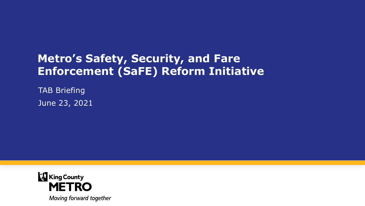## **Metro's Safety, Security, and Fare Enforcement (SaFE) Reform Initiative**

TAB Briefing June 23, 2021

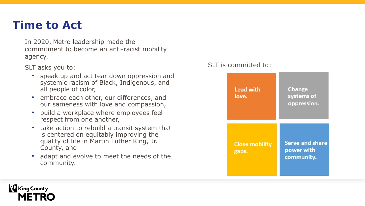### **Time to Act**

In 2020, Metro leadership made the commitment to become an anti-racist mobility agency.

SLT asks you to:

- speak up and act tear down oppression and systemic racism of Black, Indigenous, and all people of color,
- embrace each other, our differences, and our sameness with love and compassion,
- build a workplace where employees feel respect from one another,
- take action to rebuild a transit system that is centered on equitably improving the quality of life in Martin Luther King, Jr. County, and
- adapt and evolve to meet the needs of the community.

#### SLT is committed to:



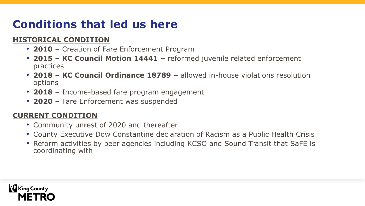# **Conditions that led us here**

#### **HISTORICAL CONDITION**

- **2010 –** Creation of Fare Enforcement Program
- **2015 – KC Council Motion 14441 –** reformed juvenile related enforcement practices
- **2018 – KC Council Ordinance 18789 –** allowed in-house violations resolution options
- **2018 –** Income-based fare program engagement
- **2020 –** Fare Enforcement was suspended

#### **CURRENT CONDITION**

- Community unrest of 2020 and thereafter
- County Executive Dow Constantine declaration of Racism as a Public Health Crisis
- Reform activities by peer agencies including KCSO and Sound Transit that SaFE is coordinating with

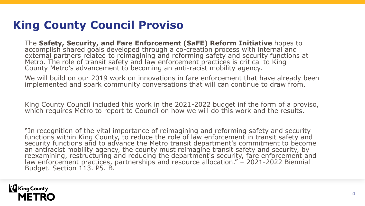## **King County Council Proviso**

The **Safety, Security, and Fare Enforcement (SaFE) Reform Initiative** hopes to accomplish shared goals developed through a co-creation process with internal and external partners related to reimagining and reforming safety and security functions at Metro. The role of transit safety and law enforcement practices is critical to King County Metro's advancement to becoming an anti-racist mobility agency.

We will build on our 2019 work on innovations in fare enforcement that have already been implemented and spark community conversations that will can continue to draw from.

King County Council included this work in the 2021-2022 budget inf the form of a proviso, which requires Metro to report to Council on how we will do this work and the results.

"In recognition of the vital importance of reimagining and reforming safety and security functions within King County, to reduce the role of law enforcement in transit safety and security functions and to advance the Metro transit department's commitment to become an antiracist mobility agency, the county must reimagine transit safety and security, by reexamining, restructuring and reducing the department's security, fare enforcement and law enforcement practices, partnerships and resource allocation." – 2021-2022 Biennial Budget. Section 113. P5. B.

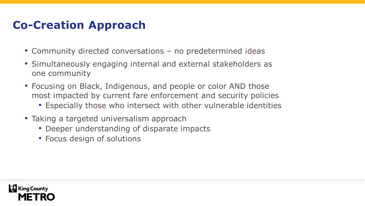### **Co-Creation Approach**

- Community directed conversations no predetermined ideas
- Simultaneously engaging internal and external stakeholders as one community
- Focusing on Black, Indigenous, and people or color AND those most impacted by current fare enforcement and security policies
	- Especially those who intersect with other vulnerable identities
- Taking a targeted universalism approach
	- Deeper understanding of disparate impacts
	- Focus design of solutions

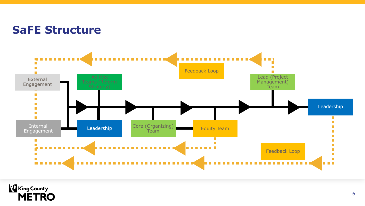#### **SaFE Structure**



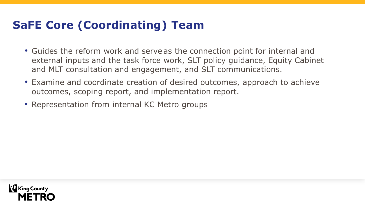## **SaFE Core (Coordinating) Team**

- Guides the reform work and serve as the connection point for internal and external inputs and the task force work, SLT policy guidance, Equity Cabinet and MLT consultation and engagement, and SLT communications.
- Examine and coordinate creation of desired outcomes, approach to achieve outcomes, scoping report, and implementation report.
- Representation from internal KC Metro groups

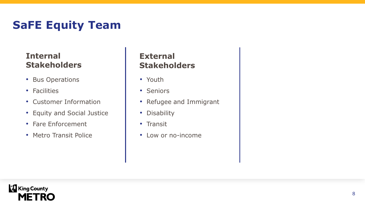# **SaFE Equity Team**

#### **Internal Stakeholders**

- Bus Operations
- Facilities
- Customer Information
- Equity and Social Justice
- Fare Enforcement
- Metro Transit Police

#### **External Stakeholders**

- Youth
- Seniors
- Refugee and Immigrant
- Disability
- Transit
- Low or no-income

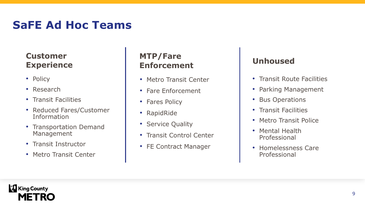## **SaFE Ad Hoc Teams**

#### **Customer Experience**

- Policy
- Research
- Transit Facilities
- Reduced Fares/Customer Information
- Transportation Demand Management
- Transit Instructor
- Metro Transit Center

#### **MTP/Fare Enforcement**

- Metro Transit Center
- Fare Enforcement
- Fares Policy
- RapidRide
- Service Quality
- Transit Control Center
- FE Contract Manager

#### **Unhoused**

- Transit Route Facilities
- Parking Management
- Bus Operations
- Transit Facilities
- Metro Transit Police
- Mental Health Professional
- Homelessness Care Professional

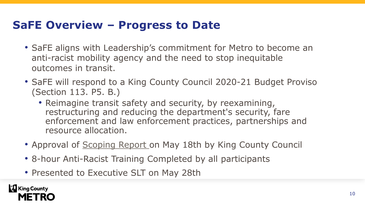### **SaFE Overview – Progress to Date**

- SaFE aligns with Leadership's commitment for Metro to become an anti-racist mobility agency and the need to stop inequitable outcomes in transit.
- SaFE will respond to a King County Council 2020-21 Budget Proviso (Section 113. P5. B.)
	- Reimagine transit safety and security, by reexamining, restructuring and reducing the department's security, fare enforcement and law enforcement practices, partnerships and resource allocation.
- Approval of [Scoping Report o](https://mkcclegisearch.kingcounty.gov/LegislationDetail.aspx?ID=4910679&GUID=2505E670-A1B0-4874-9C7C-511986D8B2D5&Options=Advanced&Search=)n May 18th by King County Council
- 8-hour Anti-Racist Training Completed by all participants
- Presented to Executive SLT on May 28th

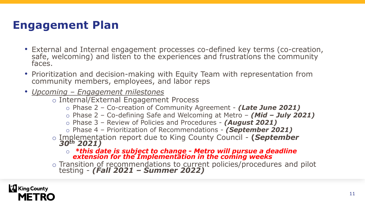## **Engagement Plan**

- External and Internal engagement processes co-defined key terms (co-creation, safe, welcoming) and listen to the experiences and frustrations the community faces.
- Prioritization and decision-making with Equity Team with representation from community members, employees, and labor reps
- *Upcoming – Engagement milestones*
	- o Internal/External Engagement Process
		- o Phase 2 Co-creation of Community Agreement *(Late June 2021)*
		- o Phase 2 Co-defining Safe and Welcoming at Metro *(Mid – July 2021)*
		- o Phase 3 Review of Policies and Procedures *(August 2021)*
		- o Phase 4 Prioritization of Recommendations *(September 2021)*
	- o Implementation report due to King County Council **(***September 30th 2021)*
		- o *\*this date is subject to change - Metro will pursue a deadline extension for the Implementation in the coming weeks*
	- o Transition of recommendations to current policies/procedures and pilot testing - *(Fall 2021 – Summer 2022)*

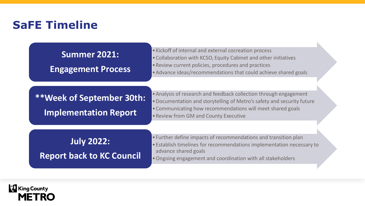### **SaFE Timeline**

**Summer 2021: Engagement Process** •Kickoff of internal and external cocreation process

•Collaboration with KCSO, Equity Cabinet and other initiatives

•Review current policies, procedures and practices

•Advance ideas/recommendations that could achieve shared goals

#### **\*\*Week of September 30th: Implementation Report**

•Analysis of research and feedback collection through engagement •Documentation and storytelling of Metro's safety and security future •Communicating how recommendations will meet shared goals •Review from GM and County Executive

**July 2022: Report back to KC Council** 

- •Further define impacts of recommendations and transition plan
- •Establish timelines for recommendations implementation necessary to advance shared goals
- •Ongoing engagement and coordination with all stakeholders

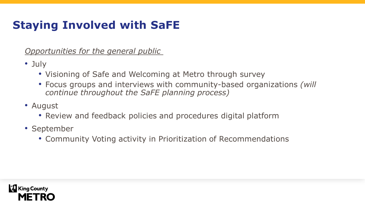# **Staying Involved with SaFE**

*Opportunities for the general public*

- July
	- Visioning of Safe and Welcoming at Metro through survey
	- Focus groups and interviews with community-based organizations *(will continue throughout the SaFE planning process)*
- August
	- Review and feedback policies and procedures digital platform
- September
	- Community Voting activity in Prioritization of Recommendations